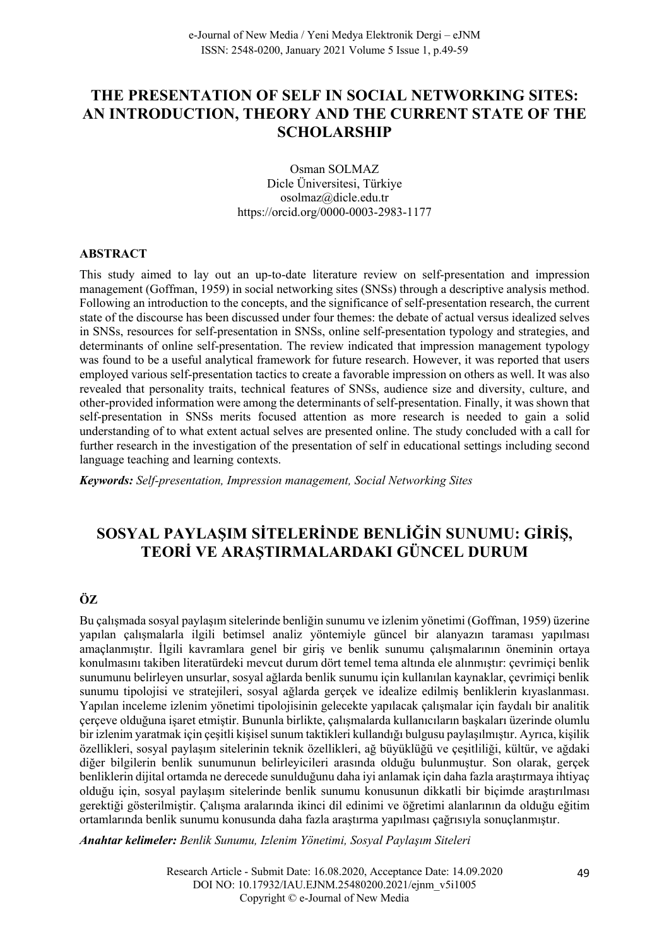## **THE PRESENTATION OF SELF IN SOCIAL NETWORKING SITES: AN INTRODUCTION, THEORY AND THE CURRENT STATE OF THE SCHOLARSHIP**

Osman SOLMAZ Dicle Üniversitesi, Türkiye osolmaz@dicle.edu.tr https://orcid.org/0000-0003-2983-1177

#### **ABSTRACT**

This study aimed to lay out an up-to-date literature review on self-presentation and impression management (Goffman, 1959) in social networking sites (SNSs) through a descriptive analysis method. Following an introduction to the concepts, and the significance of self-presentation research, the current state of the discourse has been discussed under four themes: the debate of actual versus idealized selves in SNSs, resources for self-presentation in SNSs, online self-presentation typology and strategies, and determinants of online self-presentation. The review indicated that impression management typology was found to be a useful analytical framework for future research. However, it was reported that users employed various self-presentation tactics to create a favorable impression on others as well. It was also revealed that personality traits, technical features of SNSs, audience size and diversity, culture, and other-provided information were among the determinants of self-presentation. Finally, it was shown that self-presentation in SNSs merits focused attention as more research is needed to gain a solid understanding of to what extent actual selves are presented online. The study concluded with a call for further research in the investigation of the presentation of self in educational settings including second language teaching and learning contexts.

*Keywords: Self-presentation, Impression management, Social Networking Sites*

# **SOSYAL PAYLAŞIM SİTELERİNDE BENLİĞİN SUNUMU: GİRİŞ, TEORİ VE ARAŞTIRMALARDAKI GÜNCEL DURUM**

## **ÖZ**

Bu çalışmada sosyal paylaşım sitelerinde benliğin sunumu ve izlenim yönetimi (Goffman, 1959) üzerine yapılan çalışmalarla ilgili betimsel analiz yöntemiyle güncel bir alanyazın taraması yapılması amaçlanmıştır. İlgili kavramlara genel bir giriş ve benlik sunumu çalışmalarının öneminin ortaya konulmasını takiben literatürdeki mevcut durum dört temel tema altında ele alınmıştır: çevrimiçi benlik sunumunu belirleyen unsurlar, sosyal ağlarda benlik sunumu için kullanılan kaynaklar, çevrimiçi benlik sunumu tipolojisi ve stratejileri, sosyal ağlarda gerçek ve idealize edilmiş benliklerin kıyaslanması. Yapılan inceleme izlenim yönetimi tipolojisinin gelecekte yapılacak çalışmalar için faydalı bir analitik çerçeve olduğuna işaret etmiştir. Bununla birlikte, çalışmalarda kullanıcıların başkaları üzerinde olumlu bir izlenim yaratmak için çeşitli kişisel sunum taktikleri kullandığı bulgusu paylaşılmıştır. Ayrıca, kişilik özellikleri, sosyal paylaşım sitelerinin teknik özellikleri, ağ büyüklüğü ve çeşitliliği, kültür, ve ağdaki diğer bilgilerin benlik sunumunun belirleyicileri arasında olduğu bulunmuştur. Son olarak, gerçek benliklerin dijital ortamda ne derecede sunulduğunu daha iyi anlamak için daha fazla araştırmaya ihtiyaç olduğu için, sosyal paylaşım sitelerinde benlik sunumu konusunun dikkatli bir biçimde araştırılması gerektiği gösterilmiştir. Çalışma aralarında ikinci dil edinimi ve öğretimi alanlarının da olduğu eğitim ortamlarında benlik sunumu konusunda daha fazla araştırma yapılması çağrısıyla sonuçlanmıştır.

*Anahtar kelimeler: Benlik Sunumu, Izlenim Yönetimi, Sosyal Paylaşım Siteleri*

Research Article - Submit Date: 16.08.2020, Acceptance Date: 14.09.2020 DOI NO: 10.17932/IAU.EJNM.25480200.2021/ejnm\_v5i1005 Copyright © e-Journal of New Media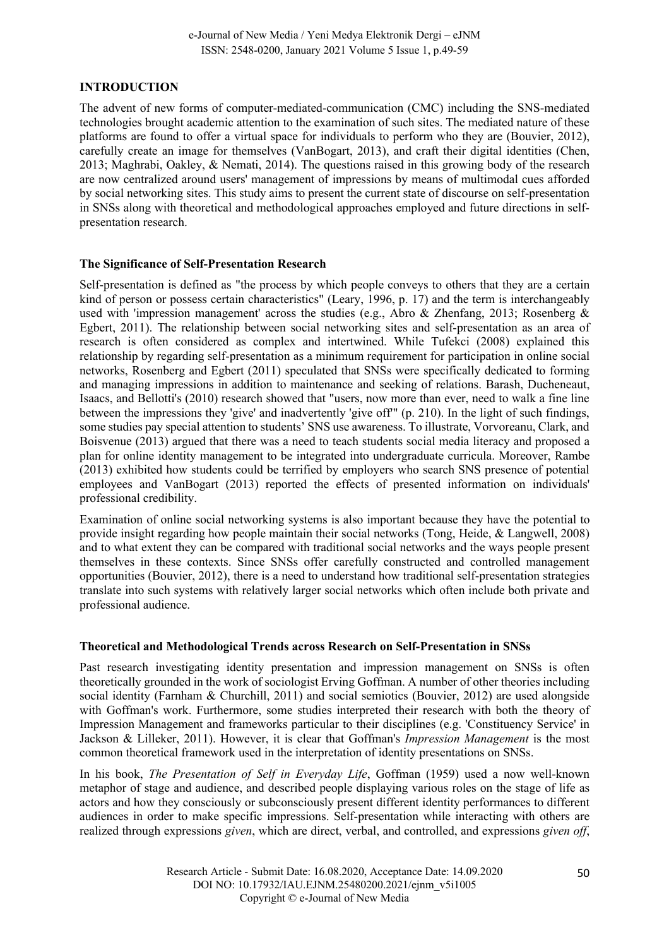## **INTRODUCTION**

The advent of new forms of computer-mediated-communication (CMC) including the SNS-mediated technologies brought academic attention to the examination of such sites. The mediated nature of these platforms are found to offer a virtual space for individuals to perform who they are (Bouvier, 2012), carefully create an image for themselves (VanBogart, 2013), and craft their digital identities (Chen, 2013; Maghrabi, Oakley, & Nemati, 2014). The questions raised in this growing body of the research are now centralized around users' management of impressions by means of multimodal cues afforded by social networking sites. This study aims to present the current state of discourse on self-presentation in SNSs along with theoretical and methodological approaches employed and future directions in selfpresentation research.

## **The Significance of Self-Presentation Research**

Self-presentation is defined as "the process by which people conveys to others that they are a certain kind of person or possess certain characteristics" (Leary, 1996, p. 17) and the term is interchangeably used with 'impression management' across the studies (e.g., Abro & Zhenfang, 2013; Rosenberg & Egbert, 2011). The relationship between social networking sites and self-presentation as an area of research is often considered as complex and intertwined. While Tufekci (2008) explained this relationship by regarding self-presentation as a minimum requirement for participation in online social networks, Rosenberg and Egbert (2011) speculated that SNSs were specifically dedicated to forming and managing impressions in addition to maintenance and seeking of relations. Barash, Ducheneaut, Isaacs, and Bellotti's (2010) research showed that "users, now more than ever, need to walk a fine line between the impressions they 'give' and inadvertently 'give off'" (p. 210). In the light of such findings, some studies pay special attention to students' SNS use awareness. To illustrate, Vorvoreanu, Clark, and Boisvenue (2013) argued that there was a need to teach students social media literacy and proposed a plan for online identity management to be integrated into undergraduate curricula. Moreover, Rambe (2013) exhibited how students could be terrified by employers who search SNS presence of potential employees and VanBogart (2013) reported the effects of presented information on individuals' professional credibility.

Examination of online social networking systems is also important because they have the potential to provide insight regarding how people maintain their social networks (Tong, Heide, & Langwell, 2008) and to what extent they can be compared with traditional social networks and the ways people present themselves in these contexts. Since SNSs offer carefully constructed and controlled management opportunities (Bouvier, 2012), there is a need to understand how traditional self-presentation strategies translate into such systems with relatively larger social networks which often include both private and professional audience.

## **Theoretical and Methodological Trends across Research on Self-Presentation in SNSs**

Past research investigating identity presentation and impression management on SNSs is often theoretically grounded in the work of sociologist Erving Goffman. A number of other theories including social identity (Farnham & Churchill, 2011) and social semiotics (Bouvier, 2012) are used alongside with Goffman's work. Furthermore, some studies interpreted their research with both the theory of Impression Management and frameworks particular to their disciplines (e.g. 'Constituency Service' in Jackson & Lilleker, 2011). However, it is clear that Goffman's *Impression Management* is the most common theoretical framework used in the interpretation of identity presentations on SNSs.

In his book, *The Presentation of Self in Everyday Life*, Goffman (1959) used a now well-known metaphor of stage and audience, and described people displaying various roles on the stage of life as actors and how they consciously or subconsciously present different identity performances to different audiences in order to make specific impressions. Self-presentation while interacting with others are realized through expressions *given*, which are direct, verbal, and controlled, and expressions *given off*,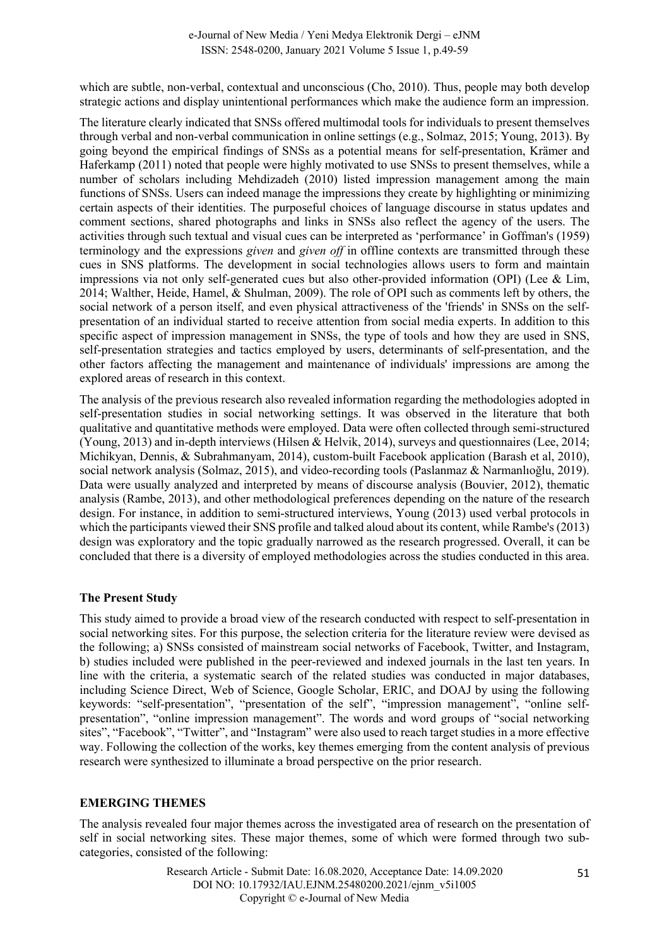which are subtle, non-verbal, contextual and unconscious (Cho, 2010). Thus, people may both develop strategic actions and display unintentional performances which make the audience form an impression.

The literature clearly indicated that SNSs offered multimodal tools for individuals to present themselves through verbal and non-verbal communication in online settings (e.g., Solmaz, 2015; Young, 2013). By going beyond the empirical findings of SNSs as a potential means for self-presentation, Krämer and Haferkamp (2011) noted that people were highly motivated to use SNSs to present themselves, while a number of scholars including Mehdizadeh (2010) listed impression management among the main functions of SNSs. Users can indeed manage the impressions they create by highlighting or minimizing certain aspects of their identities. The purposeful choices of language discourse in status updates and comment sections, shared photographs and links in SNSs also reflect the agency of the users. The activities through such textual and visual cues can be interpreted as 'performance' in Goffman's (1959) terminology and the expressions *given* and *given off* in offline contexts are transmitted through these cues in SNS platforms. The development in social technologies allows users to form and maintain impressions via not only self-generated cues but also other-provided information (OPI) (Lee & Lim, 2014; Walther, Heide, Hamel, & Shulman, 2009). The role of OPI such as comments left by others, the social network of a person itself, and even physical attractiveness of the 'friends' in SNSs on the selfpresentation of an individual started to receive attention from social media experts. In addition to this specific aspect of impression management in SNSs, the type of tools and how they are used in SNS, self-presentation strategies and tactics employed by users, determinants of self-presentation, and the other factors affecting the management and maintenance of individuals' impressions are among the explored areas of research in this context.

The analysis of the previous research also revealed information regarding the methodologies adopted in self-presentation studies in social networking settings. It was observed in the literature that both qualitative and quantitative methods were employed. Data were often collected through semi-structured (Young, 2013) and in-depth interviews (Hilsen & Helvik, 2014), surveys and questionnaires (Lee, 2014; Michikyan, Dennis, & Subrahmanyam, 2014), custom-built Facebook application (Barash et al, 2010), social network analysis (Solmaz, 2015), and video-recording tools (Paslanmaz & Narmanlıoğlu, 2019). Data were usually analyzed and interpreted by means of discourse analysis (Bouvier, 2012), thematic analysis (Rambe, 2013), and other methodological preferences depending on the nature of the research design. For instance, in addition to semi-structured interviews, Young (2013) used verbal protocols in which the participants viewed their SNS profile and talked aloud about its content, while Rambe's (2013) design was exploratory and the topic gradually narrowed as the research progressed. Overall, it can be concluded that there is a diversity of employed methodologies across the studies conducted in this area.

## **The Present Study**

This study aimed to provide a broad view of the research conducted with respect to self-presentation in social networking sites. For this purpose, the selection criteria for the literature review were devised as the following; a) SNSs consisted of mainstream social networks of Facebook, Twitter, and Instagram, b) studies included were published in the peer-reviewed and indexed journals in the last ten years. In line with the criteria, a systematic search of the related studies was conducted in major databases, including Science Direct, Web of Science, Google Scholar, ERIC, and DOAJ by using the following keywords: "self-presentation", "presentation of the self", "impression management", "online selfpresentation", "online impression management". The words and word groups of "social networking sites", "Facebook", "Twitter", and "Instagram" were also used to reach target studies in a more effective way. Following the collection of the works, key themes emerging from the content analysis of previous research were synthesized to illuminate a broad perspective on the prior research.

#### **EMERGING THEMES**

The analysis revealed four major themes across the investigated area of research on the presentation of self in social networking sites. These major themes, some of which were formed through two subcategories, consisted of the following: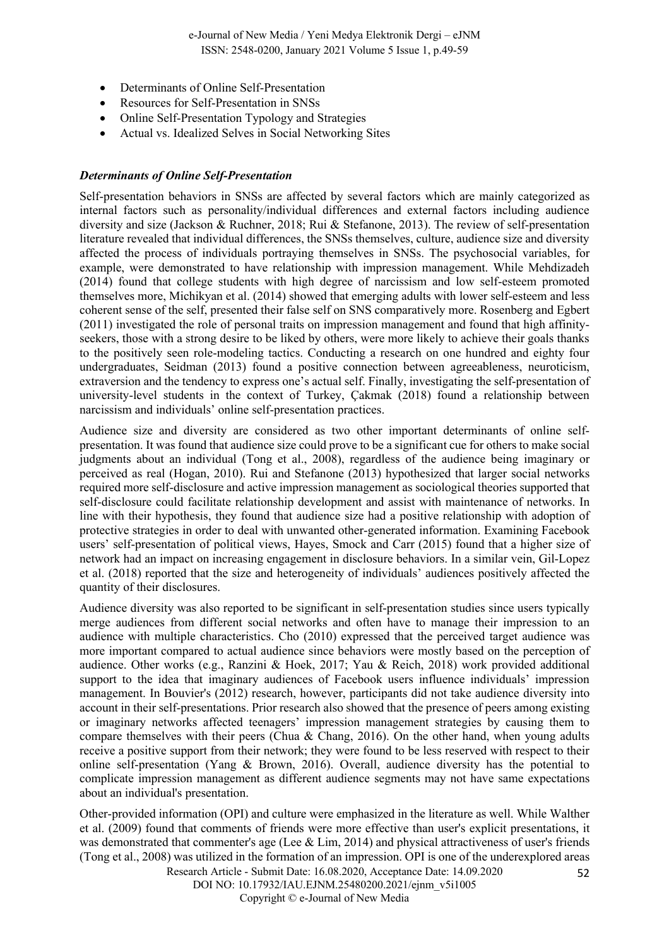- Determinants of Online Self-Presentation
- Resources for Self-Presentation in SNSs
- Online Self-Presentation Typology and Strategies
- Actual vs. Idealized Selves in Social Networking Sites

#### *Determinants of Online Self-Presentation*

Self-presentation behaviors in SNSs are affected by several factors which are mainly categorized as internal factors such as personality/individual differences and external factors including audience diversity and size (Jackson & Ruchner, 2018; Rui & Stefanone, 2013). The review of self-presentation literature revealed that individual differences, the SNSs themselves, culture, audience size and diversity affected the process of individuals portraying themselves in SNSs. The psychosocial variables, for example, were demonstrated to have relationship with impression management. While Mehdizadeh (2014) found that college students with high degree of narcissism and low self-esteem promoted themselves more, Michikyan et al. (2014) showed that emerging adults with lower self-esteem and less coherent sense of the self, presented their false self on SNS comparatively more. Rosenberg and Egbert (2011) investigated the role of personal traits on impression management and found that high affinityseekers, those with a strong desire to be liked by others, were more likely to achieve their goals thanks to the positively seen role-modeling tactics. Conducting a research on one hundred and eighty four undergraduates, Seidman (2013) found a positive connection between agreeableness, neuroticism, extraversion and the tendency to express one's actual self. Finally, investigating the self-presentation of university-level students in the context of Turkey, Çakmak (2018) found a relationship between narcissism and individuals' online self-presentation practices.

Audience size and diversity are considered as two other important determinants of online selfpresentation. It was found that audience size could prove to be a significant cue for others to make social judgments about an individual (Tong et al., 2008), regardless of the audience being imaginary or perceived as real (Hogan, 2010). Rui and Stefanone (2013) hypothesized that larger social networks required more self-disclosure and active impression management as sociological theories supported that self-disclosure could facilitate relationship development and assist with maintenance of networks. In line with their hypothesis, they found that audience size had a positive relationship with adoption of protective strategies in order to deal with unwanted other-generated information. Examining Facebook users' self-presentation of political views, Hayes, Smock and Carr (2015) found that a higher size of network had an impact on increasing engagement in disclosure behaviors. In a similar vein, Gil-Lopez et al. (2018) reported that the size and heterogeneity of individuals' audiences positively affected the quantity of their disclosures.

Audience diversity was also reported to be significant in self-presentation studies since users typically merge audiences from different social networks and often have to manage their impression to an audience with multiple characteristics. Cho (2010) expressed that the perceived target audience was more important compared to actual audience since behaviors were mostly based on the perception of audience. Other works (e.g., Ranzini & Hoek, 2017; Yau & Reich, 2018) work provided additional support to the idea that imaginary audiences of Facebook users influence individuals' impression management. In Bouvier's (2012) research, however, participants did not take audience diversity into account in their self-presentations. Prior research also showed that the presence of peers among existing or imaginary networks affected teenagers' impression management strategies by causing them to compare themselves with their peers (Chua & Chang, 2016). On the other hand, when young adults receive a positive support from their network; they were found to be less reserved with respect to their online self-presentation (Yang & Brown, 2016). Overall, audience diversity has the potential to complicate impression management as different audience segments may not have same expectations about an individual's presentation.

52 Other-provided information (OPI) and culture were emphasized in the literature as well. While Walther et al. (2009) found that comments of friends were more effective than user's explicit presentations, it was demonstrated that commenter's age (Lee & Lim, 2014) and physical attractiveness of user's friends (Tong et al., 2008) was utilized in the formation of an impression. OPI is one of the underexplored areas

Research Article - Submit Date: 16.08.2020, Acceptance Date: 14.09.2020 DOI NO: 10.17932/IAU.EJNM.25480200.2021/ejnm\_v5i1005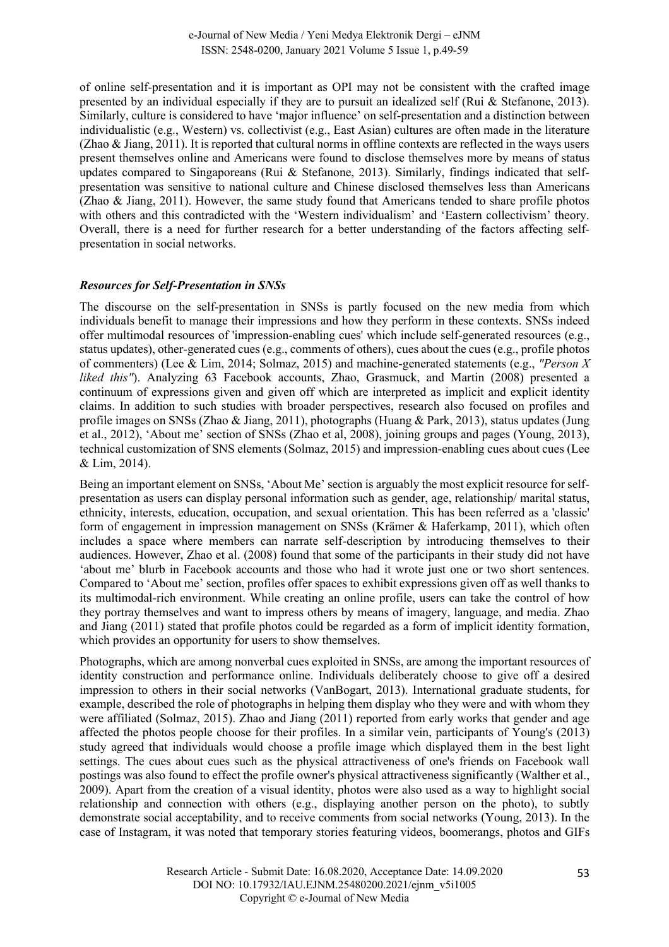of online self-presentation and it is important as OPI may not be consistent with the crafted image presented by an individual especially if they are to pursuit an idealized self (Rui & Stefanone, 2013). Similarly, culture is considered to have 'major influence' on self-presentation and a distinction between individualistic (e.g., Western) vs. collectivist (e.g., East Asian) cultures are often made in the literature (Zhao & Jiang, 2011). It is reported that cultural norms in offline contexts are reflected in the ways users present themselves online and Americans were found to disclose themselves more by means of status updates compared to Singaporeans (Rui & Stefanone, 2013). Similarly, findings indicated that selfpresentation was sensitive to national culture and Chinese disclosed themselves less than Americans (Zhao & Jiang, 2011). However, the same study found that Americans tended to share profile photos with others and this contradicted with the 'Western individualism' and 'Eastern collectivism' theory. Overall, there is a need for further research for a better understanding of the factors affecting selfpresentation in social networks.

#### *Resources for Self-Presentation in SNSs*

The discourse on the self-presentation in SNSs is partly focused on the new media from which individuals benefit to manage their impressions and how they perform in these contexts. SNSs indeed offer multimodal resources of 'impression-enabling cues' which include self-generated resources (e.g., status updates), other-generated cues (e.g., comments of others), cues about the cues (e.g., profile photos of commenters) (Lee & Lim, 2014; Solmaz, 2015) and machine-generated statements (e.g., *"Person X liked this"*). Analyzing 63 Facebook accounts, Zhao, Grasmuck, and Martin (2008) presented a continuum of expressions given and given off which are interpreted as implicit and explicit identity claims. In addition to such studies with broader perspectives, research also focused on profiles and profile images on SNSs (Zhao & Jiang, 2011), photographs (Huang & Park, 2013), status updates (Jung et al., 2012), 'About me' section of SNSs (Zhao et al, 2008), joining groups and pages (Young, 2013), technical customization of SNS elements (Solmaz, 2015) and impression-enabling cues about cues (Lee & Lim, 2014).

Being an important element on SNSs, 'About Me' section is arguably the most explicit resource for selfpresentation as users can display personal information such as gender, age, relationship/ marital status, ethnicity, interests, education, occupation, and sexual orientation. This has been referred as a 'classic' form of engagement in impression management on SNSs (Krämer & Haferkamp, 2011), which often includes a space where members can narrate self-description by introducing themselves to their audiences. However, Zhao et al. (2008) found that some of the participants in their study did not have 'about me' blurb in Facebook accounts and those who had it wrote just one or two short sentences. Compared to 'About me' section, profiles offer spaces to exhibit expressions given off as well thanks to its multimodal-rich environment. While creating an online profile, users can take the control of how they portray themselves and want to impress others by means of imagery, language, and media. Zhao and Jiang (2011) stated that profile photos could be regarded as a form of implicit identity formation, which provides an opportunity for users to show themselves.

Photographs, which are among nonverbal cues exploited in SNSs, are among the important resources of identity construction and performance online. Individuals deliberately choose to give off a desired impression to others in their social networks (VanBogart, 2013). International graduate students, for example, described the role of photographs in helping them display who they were and with whom they were affiliated (Solmaz, 2015). Zhao and Jiang (2011) reported from early works that gender and age affected the photos people choose for their profiles. In a similar vein, participants of Young's (2013) study agreed that individuals would choose a profile image which displayed them in the best light settings. The cues about cues such as the physical attractiveness of one's friends on Facebook wall postings was also found to effect the profile owner's physical attractiveness significantly (Walther et al., 2009). Apart from the creation of a visual identity, photos were also used as a way to highlight social relationship and connection with others (e.g., displaying another person on the photo), to subtly demonstrate social acceptability, and to receive comments from social networks (Young, 2013). In the case of Instagram, it was noted that temporary stories featuring videos, boomerangs, photos and GIFs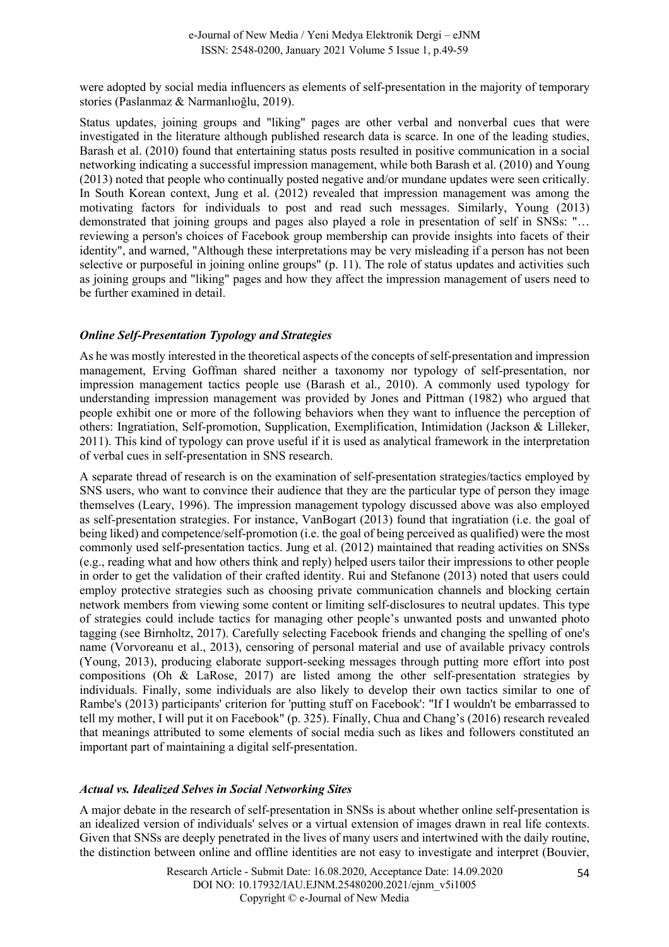were adopted by social media influencers as elements of self-presentation in the majority of temporary stories (Paslanmaz & Narmanlıoğlu, 2019).

Status updates, joining groups and "liking" pages are other verbal and nonverbal cues that were investigated in the literature although published research data is scarce. In one of the leading studies, Barash et al. (2010) found that entertaining status posts resulted in positive communication in a social networking indicating a successful impression management, while both Barash et al. (2010) and Young (2013) noted that people who continually posted negative and/or mundane updates were seen critically. In South Korean context, Jung et al. (2012) revealed that impression management was among the motivating factors for individuals to post and read such messages. Similarly, Young (2013) demonstrated that joining groups and pages also played a role in presentation of self in SNSs: "… reviewing a person's choices of Facebook group membership can provide insights into facets of their identity", and warned, "Although these interpretations may be very misleading if a person has not been selective or purposeful in joining online groups" (p. 11). The role of status updates and activities such as joining groups and "liking" pages and how they affect the impression management of users need to be further examined in detail.

## *Online Self-Presentation Typology and Strategies*

As he was mostly interested in the theoretical aspects of the concepts of self-presentation and impression management, Erving Goffman shared neither a taxonomy nor typology of self-presentation, nor impression management tactics people use (Barash et al., 2010). A commonly used typology for understanding impression management was provided by Jones and Pittman (1982) who argued that people exhibit one or more of the following behaviors when they want to influence the perception of others: Ingratiation, Self-promotion, Supplication, Exemplification, Intimidation (Jackson & Lilleker, 2011). This kind of typology can prove useful if it is used as analytical framework in the interpretation of verbal cues in self-presentation in SNS research.

A separate thread of research is on the examination of self-presentation strategies/tactics employed by SNS users, who want to convince their audience that they are the particular type of person they image themselves (Leary, 1996). The impression management typology discussed above was also employed as self-presentation strategies. For instance, VanBogart (2013) found that ingratiation (i.e. the goal of being liked) and competence/self-promotion (i.e. the goal of being perceived as qualified) were the most commonly used self-presentation tactics. Jung et al. (2012) maintained that reading activities on SNSs (e.g., reading what and how others think and reply) helped users tailor their impressions to other people in order to get the validation of their crafted identity. Rui and Stefanone (2013) noted that users could employ protective strategies such as choosing private communication channels and blocking certain network members from viewing some content or limiting self-disclosures to neutral updates. This type of strategies could include tactics for managing other people's unwanted posts and unwanted photo tagging (see Birnholtz, 2017). Carefully selecting Facebook friends and changing the spelling of one's name (Vorvoreanu et al., 2013), censoring of personal material and use of available privacy controls (Young, 2013), producing elaborate support-seeking messages through putting more effort into post compositions (Oh & LaRose, 2017) are listed among the other self-presentation strategies by individuals. Finally, some individuals are also likely to develop their own tactics similar to one of Rambe's (2013) participants' criterion for 'putting stuff on Facebook': "If I wouldn't be embarrassed to tell my mother, I will put it on Facebook" (p. 325). Finally, Chua and Chang's (2016) research revealed that meanings attributed to some elements of social media such as likes and followers constituted an important part of maintaining a digital self-presentation.

## *Actual vs. Idealized Selves in Social Networking Sites*

A major debate in the research of self-presentation in SNSs is about whether online self-presentation is an idealized version of individuals' selves or a virtual extension of images drawn in real life contexts. Given that SNSs are deeply penetrated in the lives of many users and intertwined with the daily routine, the distinction between online and offline identities are not easy to investigate and interpret (Bouvier,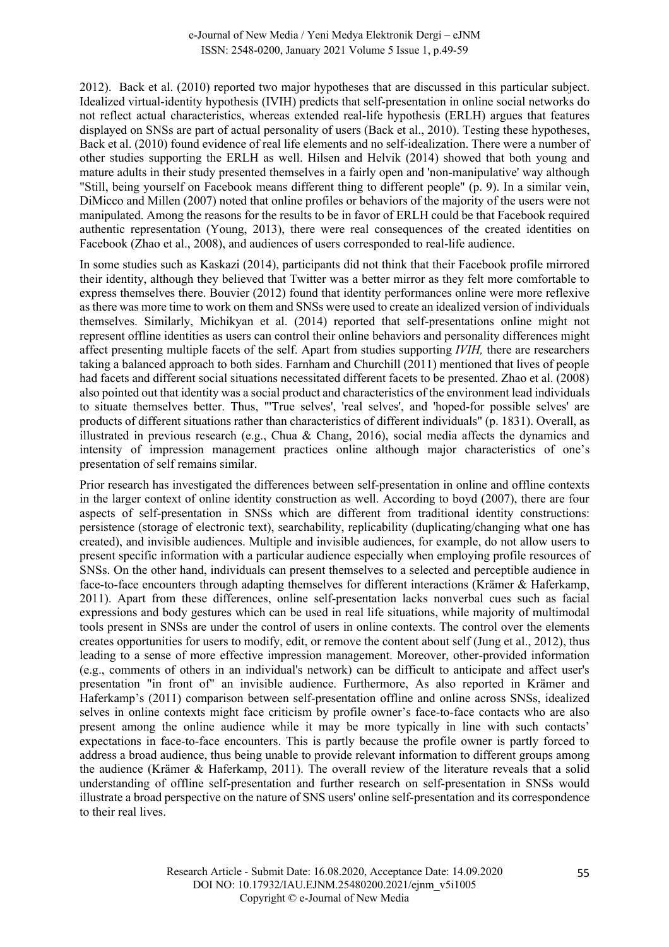2012). Back et al. (2010) reported two major hypotheses that are discussed in this particular subject. Idealized virtual-identity hypothesis (IVIH) predicts that self-presentation in online social networks do not reflect actual characteristics, whereas extended real-life hypothesis (ERLH) argues that features displayed on SNSs are part of actual personality of users (Back et al., 2010). Testing these hypotheses, Back et al. (2010) found evidence of real life elements and no self-idealization. There were a number of other studies supporting the ERLH as well. Hilsen and Helvik (2014) showed that both young and mature adults in their study presented themselves in a fairly open and 'non-manipulative' way although "Still, being yourself on Facebook means different thing to different people" (p. 9). In a similar vein, DiMicco and Millen (2007) noted that online profiles or behaviors of the majority of the users were not manipulated. Among the reasons for the results to be in favor of ERLH could be that Facebook required authentic representation (Young, 2013), there were real consequences of the created identities on Facebook (Zhao et al., 2008), and audiences of users corresponded to real-life audience.

In some studies such as Kaskazi (2014), participants did not think that their Facebook profile mirrored their identity, although they believed that Twitter was a better mirror as they felt more comfortable to express themselves there. Bouvier (2012) found that identity performances online were more reflexive as there was more time to work on them and SNSs were used to create an idealized version of individuals themselves. Similarly, Michikyan et al. (2014) reported that self-presentations online might not represent offline identities as users can control their online behaviors and personality differences might affect presenting multiple facets of the self. Apart from studies supporting *IVIH,* there are researchers taking a balanced approach to both sides. Farnham and Churchill (2011) mentioned that lives of people had facets and different social situations necessitated different facets to be presented. Zhao et al. (2008) also pointed out that identity was a social product and characteristics of the environment lead individuals to situate themselves better. Thus, "'True selves', 'real selves', and 'hoped-for possible selves' are products of different situations rather than characteristics of different individuals" (p. 1831). Overall, as illustrated in previous research (e.g., Chua & Chang, 2016), social media affects the dynamics and intensity of impression management practices online although major characteristics of one's presentation of self remains similar.

Prior research has investigated the differences between self-presentation in online and offline contexts in the larger context of online identity construction as well. According to boyd (2007), there are four aspects of self-presentation in SNSs which are different from traditional identity constructions: persistence (storage of electronic text), searchability, replicability (duplicating/changing what one has created), and invisible audiences. Multiple and invisible audiences, for example, do not allow users to present specific information with a particular audience especially when employing profile resources of SNSs. On the other hand, individuals can present themselves to a selected and perceptible audience in face-to-face encounters through adapting themselves for different interactions (Krämer & Haferkamp, 2011). Apart from these differences, online self-presentation lacks nonverbal cues such as facial expressions and body gestures which can be used in real life situations, while majority of multimodal tools present in SNSs are under the control of users in online contexts. The control over the elements creates opportunities for users to modify, edit, or remove the content about self (Jung et al., 2012), thus leading to a sense of more effective impression management. Moreover, other-provided information (e.g., comments of others in an individual's network) can be difficult to anticipate and affect user's presentation "in front of" an invisible audience. Furthermore, As also reported in Krämer and Haferkamp's (2011) comparison between self-presentation offline and online across SNSs, idealized selves in online contexts might face criticism by profile owner's face-to-face contacts who are also present among the online audience while it may be more typically in line with such contacts' expectations in face-to-face encounters. This is partly because the profile owner is partly forced to address a broad audience, thus being unable to provide relevant information to different groups among the audience (Krämer & Haferkamp, 2011). The overall review of the literature reveals that a solid understanding of offline self-presentation and further research on self-presentation in SNSs would illustrate a broad perspective on the nature of SNS users' online self-presentation and its correspondence to their real lives.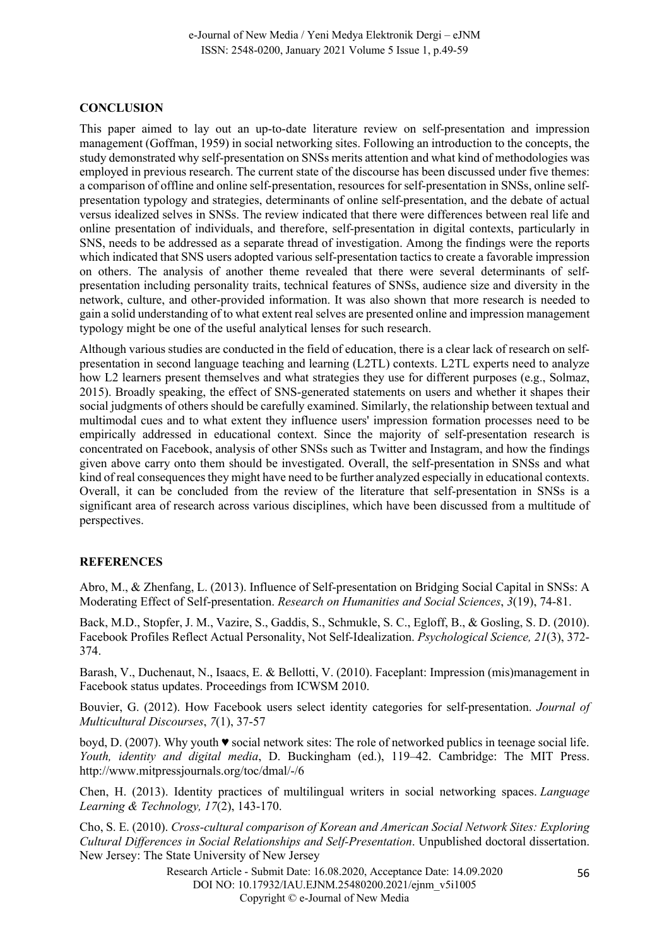## **CONCLUSION**

This paper aimed to lay out an up-to-date literature review on self-presentation and impression management (Goffman, 1959) in social networking sites. Following an introduction to the concepts, the study demonstrated why self-presentation on SNSs merits attention and what kind of methodologies was employed in previous research. The current state of the discourse has been discussed under five themes: a comparison of offline and online self-presentation, resources for self-presentation in SNSs, online selfpresentation typology and strategies, determinants of online self-presentation, and the debate of actual versus idealized selves in SNSs. The review indicated that there were differences between real life and online presentation of individuals, and therefore, self-presentation in digital contexts, particularly in SNS, needs to be addressed as a separate thread of investigation. Among the findings were the reports which indicated that SNS users adopted various self-presentation tactics to create a favorable impression on others. The analysis of another theme revealed that there were several determinants of selfpresentation including personality traits, technical features of SNSs, audience size and diversity in the network, culture, and other-provided information. It was also shown that more research is needed to gain a solid understanding of to what extent real selves are presented online and impression management typology might be one of the useful analytical lenses for such research.

Although various studies are conducted in the field of education, there is a clear lack of research on selfpresentation in second language teaching and learning (L2TL) contexts. L2TL experts need to analyze how L2 learners present themselves and what strategies they use for different purposes (e.g., Solmaz, 2015). Broadly speaking, the effect of SNS-generated statements on users and whether it shapes their social judgments of others should be carefully examined. Similarly, the relationship between textual and multimodal cues and to what extent they influence users' impression formation processes need to be empirically addressed in educational context. Since the majority of self-presentation research is concentrated on Facebook, analysis of other SNSs such as Twitter and Instagram, and how the findings given above carry onto them should be investigated. Overall, the self-presentation in SNSs and what kind of real consequences they might have need to be further analyzed especially in educational contexts. Overall, it can be concluded from the review of the literature that self-presentation in SNSs is a significant area of research across various disciplines, which have been discussed from a multitude of perspectives.

## **REFERENCES**

Abro, M., & Zhenfang, L. (2013). Influence of Self-presentation on Bridging Social Capital in SNSs: A Moderating Effect of Self-presentation. *Research on Humanities and Social Sciences*, *3*(19), 74-81.

Back, M.D., Stopfer, J. M., Vazire, S., Gaddis, S., Schmukle, S. C., Egloff, B., & Gosling, S. D. (2010). Facebook Profiles Reflect Actual Personality, Not Self-Idealization. *Psychological Science, 21*(3), 372- 374.

Barash, V., Duchenaut, N., Isaacs, E. & Bellotti, V. (2010). Faceplant: Impression (mis)management in Facebook status updates. Proceedings from ICWSM 2010.

Bouvier, G. (2012). How Facebook users select identity categories for self-presentation. *Journal of Multicultural Discourses*, *7*(1), 37-57

boyd, D. (2007). Why youth ♥ social network sites: The role of networked publics in teenage social life. *Youth, identity and digital media*, D. Buckingham (ed.), 119–42. Cambridge: The MIT Press. http://www.mitpressjournals.org/toc/dmal/-/6

Chen, H. (2013). Identity practices of multilingual writers in social networking spaces. *Language Learning & Technology, 17*(2), 143-170.

Cho, S. E. (2010). *Cross-cultural comparison of Korean and American Social Network Sites: Exploring Cultural Differences in Social Relationships and Self-Presentation*. Unpublished doctoral dissertation. New Jersey: The State University of New Jersey

> Research Article - Submit Date: 16.08.2020, Acceptance Date: 14.09.2020 DOI NO: 10.17932/IAU.EJNM.25480200.2021/ejnm\_v5i1005 Copyright © e-Journal of New Media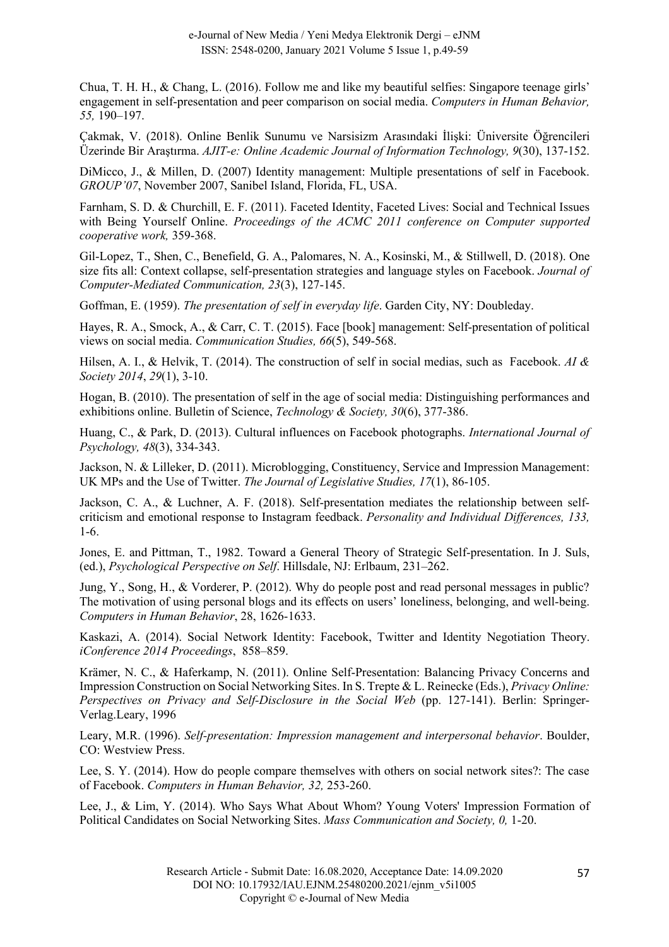Chua, T. H. H., & Chang, L. (2016). Follow me and like my beautiful selfies: Singapore teenage girls' engagement in self-presentation and peer comparison on social media. *Computers in Human Behavior, 55,* 190–197.

Çakmak, V. (2018). Online Benlik Sunumu ve Narsisizm Arasındaki İlişki: Üniversite Öğrencileri Üzerinde Bir Araştırma. *AJIT-e: Online Academic Journal of Information Technology, 9*(30), 137-152.

DiMicco, J., & Millen, D. (2007) Identity management: Multiple presentations of self in Facebook. *GROUP'07*, November 2007, Sanibel Island, Florida, FL, USA.

Farnham, S. D. & Churchill, E. F. (2011). Faceted Identity, Faceted Lives: Social and Technical Issues with Being Yourself Online. *Proceedings of the ACMC 2011 conference on Computer supported cooperative work,* 359-368.

Gil-Lopez, T., Shen, C., Benefield, G. A., Palomares, N. A., Kosinski, M., & Stillwell, D. (2018). One size fits all: Context collapse, self-presentation strategies and language styles on Facebook. *Journal of Computer-Mediated Communication, 23*(3), 127-145.

Goffman, E. (1959). *The presentation of self in everyday life*. Garden City, NY: Doubleday.

Hayes, R. A., Smock, A., & Carr, C. T. (2015). Face [book] management: Self-presentation of political views on social media. *Communication Studies, 66*(5), 549-568.

Hilsen, A. I., & Helvik, T. (2014). The construction of self in social medias, such as Facebook. *AI & Society 2014*, *29*(1), 3-10.

Hogan, B. (2010). The presentation of self in the age of social media: Distinguishing performances and exhibitions online. Bulletin of Science, *Technology & Society, 30*(6), 377-386.

Huang, C., & Park, D. (2013). Cultural influences on Facebook photographs. *International Journal of Psychology, 48*(3), 334-343.

Jackson, N. & Lilleker, D. (2011). Microblogging, Constituency, Service and Impression Management: UK MPs and the Use of Twitter. *The Journal of Legislative Studies, 17*(1), 86-105.

Jackson, C. A., & Luchner, A. F. (2018). Self-presentation mediates the relationship between selfcriticism and emotional response to Instagram feedback. *Personality and Individual Differences, 133,* 1-6.

Jones, E. and Pittman, T., 1982. Toward a General Theory of Strategic Self-presentation. In J. Suls, (ed.), *Psychological Perspective on Self*. Hillsdale, NJ: Erlbaum, 231–262.

Jung, Y., Song, H., & Vorderer, P. (2012). Why do people post and read personal messages in public? The motivation of using personal blogs and its effects on users' loneliness, belonging, and well-being. *Computers in Human Behavior*, 28, 1626-1633.

Kaskazi, A. (2014). Social Network Identity: Facebook, Twitter and Identity Negotiation Theory. *iConference 2014 Proceedings*, 858–859.

Krämer, N. C., & Haferkamp, N. (2011). Online Self-Presentation: Balancing Privacy Concerns and Impression Construction on Social Networking Sites. In S. Trepte & L. Reinecke (Eds.), *Privacy Online: Perspectives on Privacy and Self-Disclosure in the Social Web* (pp. 127-141). Berlin: Springer-Verlag.Leary, 1996

Leary, M.R. (1996). *Self-presentation: Impression management and interpersonal behavior*. Boulder, CO: Westview Press.

Lee, S. Y. (2014). How do people compare themselves with others on social network sites?: The case of Facebook. *Computers in Human Behavior, 32,* 253-260.

Lee, J., & Lim, Y. (2014). Who Says What About Whom? Young Voters' Impression Formation of Political Candidates on Social Networking Sites. *Mass Communication and Society, 0,* 1-20.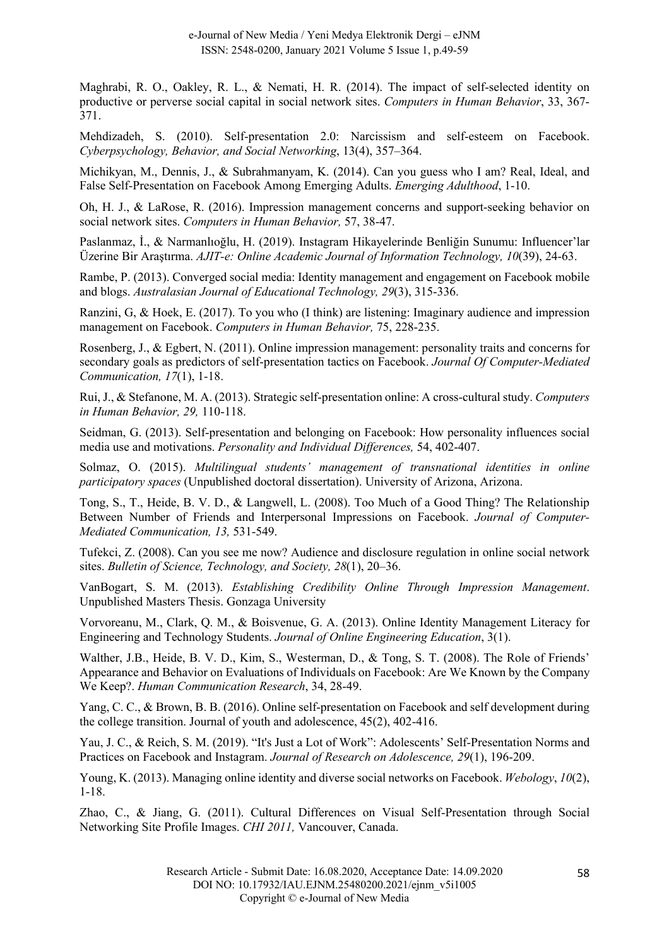Maghrabi, R. O., Oakley, R. L., & Nemati, H. R. (2014). The impact of self-selected identity on productive or perverse social capital in social network sites. *Computers in Human Behavior*, 33, 367- 371.

Mehdizadeh, S. (2010). Self-presentation 2.0: Narcissism and self-esteem on Facebook. *Cyberpsychology, Behavior, and Social Networking*, 13(4), 357–364.

Michikyan, M., Dennis, J., & Subrahmanyam, K. (2014). Can you guess who I am? Real, Ideal, and False Self-Presentation on Facebook Among Emerging Adults. *Emerging Adulthood*, 1-10.

Oh, H. J., & LaRose, R. (2016). Impression management concerns and support-seeking behavior on social network sites. *Computers in Human Behavior,* 57, 38-47.

Paslanmaz, İ., & Narmanlıoğlu, H. (2019). Instagram Hikayelerinde Benliğin Sunumu: Influencer'lar Üzerine Bir Araştırma. *AJIT-e: Online Academic Journal of Information Technology, 10*(39), 24-63.

Rambe, P. (2013). Converged social media: Identity management and engagement on Facebook mobile and blogs. *Australasian Journal of Educational Technology, 29*(3), 315-336.

Ranzini, G, & Hoek, E. (2017). To you who (I think) are listening: Imaginary audience and impression management on Facebook. *Computers in Human Behavior,* 75, 228-235.

Rosenberg, J., & Egbert, N. (2011). Online impression management: personality traits and concerns for secondary goals as predictors of self-presentation tactics on Facebook. *Journal Of Computer-Mediated Communication, 17*(1), 1-18.

Rui, J., & Stefanone, M. A. (2013). Strategic self-presentation online: A cross-cultural study. *Computers in Human Behavior, 29,* 110-118.

Seidman, G. (2013). Self-presentation and belonging on Facebook: How personality influences social media use and motivations. *Personality and Individual Differences,* 54, 402-407.

Solmaz, O. (2015). *Multilingual students' management of transnational identities in online participatory spaces* (Unpublished doctoral dissertation). University of Arizona, Arizona.

Tong, S., T., Heide, B. V. D., & Langwell, L. (2008). Too Much of a Good Thing? The Relationship Between Number of Friends and Interpersonal Impressions on Facebook. *Journal of Computer-Mediated Communication, 13,* 531-549.

Tufekci, Z. (2008). Can you see me now? Audience and disclosure regulation in online social network sites. *Bulletin of Science, Technology, and Society, 28*(1), 20–36.

VanBogart, S. M. (2013). *Establishing Credibility Online Through Impression Management*. Unpublished Masters Thesis. Gonzaga University

Vorvoreanu, M., Clark, Q. M., & Boisvenue, G. A. (2013). Online Identity Management Literacy for Engineering and Technology Students. *Journal of Online Engineering Education*, 3(1).

Walther, J.B., Heide, B. V. D., Kim, S., Westerman, D., & Tong, S. T. (2008). The Role of Friends' Appearance and Behavior on Evaluations of Individuals on Facebook: Are We Known by the Company We Keep?. *Human Communication Research*, 34, 28-49.

Yang, C. C., & Brown, B. B. (2016). Online self-presentation on Facebook and self development during the college transition. Journal of youth and adolescence, 45(2), 402-416.

Yau, J. C., & Reich, S. M. (2019). "It's Just a Lot of Work": Adolescents' Self-Presentation Norms and Practices on Facebook and Instagram. *Journal of Research on Adolescence, 29*(1), 196-209.

Young, K. (2013). Managing online identity and diverse social networks on Facebook. *Webology*, *10*(2), 1-18.

Zhao, C., & Jiang, G. (2011). Cultural Differences on Visual Self-Presentation through Social Networking Site Profile Images. *CHI 2011,* Vancouver, Canada.